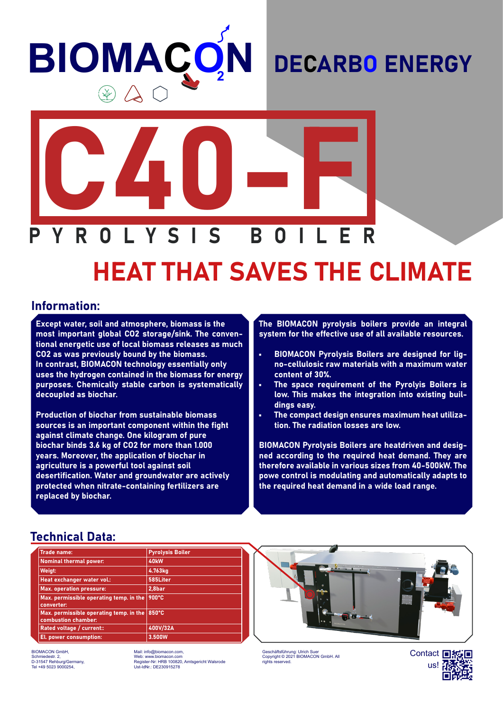# **BIOMACO N**

### DECARBO ENERGY



## HEAT THAT SAVES THE CLIMATE

#### Information:

Except water, soil and atmosphere, biomass is the most important global CO2 storage/sink. The conventional energetic use of local biomass releases as much CO2 as was previously bound by the biomass. In contrast, BIOMACON technology essentially only uses the hydrogen contained in the biomass for energy purposes. Chemically stable carbon is systematically decoupled as biochar.

Production of biochar from sustainable biomass sources is an important component within the fight against climate change. One kilogram of pure biochar binds 3.6 kg of CO2 for more than 1.000 years. Moreover, the application of biochar in agriculture is a powerful tool against soil desertification. Water and groundwater are actively protected when nitrate-containing fertilizers are replaced by biochar.

The BIOMACON pyrolysis boilers provide an integral system for the effective use of all available resources.

- BIOMACON Pyrolysis Boilers are designed for ligno-cellulosic raw materials with a maximum water content of 30%.
- The space requirement of the Pyrolyis Boilers is low. This makes the integration into existing buildings easy.
- The compact design ensures maximum heat utilization. The radiation losses are low.

BIOMACON Pyrolysis Boilers are heatdriven and designed according to the required heat demand. They are therefore available in various sizes from 40-500kW. The powe control is modulating and automatically adapts to the required heat demand in a wide load range.

#### Technical Data:

| <b>Trade name:</b>                                             | <b>Pyrolysis Boiler</b> |
|----------------------------------------------------------------|-------------------------|
| <b>Nominal thermal power:</b>                                  | 40 <sub>k</sub> W       |
| Weigt:                                                         | 4.763kg                 |
| Heat exchanger water vol.:                                     | 585Liter                |
| <b>Max. operation pressure:</b>                                | 2,8bar                  |
| Max. permissible operating temp. in the<br>converter:          | 900°C                   |
| Max. permissible operating temp. in the<br>combustion chamber: | 850°C                   |
| Rated voltage / current::                                      | 400V/32A                |
| El. power consumption:                                         | 3.500W                  |

BIOMACON GmbH, Schmiedestr. 2, D-31547 Rehburg/Germany, Tel +49 5023 9000254,

Mail: info@biomacon.com, Web: www.biomacon.com Register-Nr: HRB 100820, Amtsgericht Walsrode Ust-IdNr.: DE230915278



Geschäftsführung: Ulrich Suer Copyright © 2021 BIOMACON GmbH. All rights reserved.